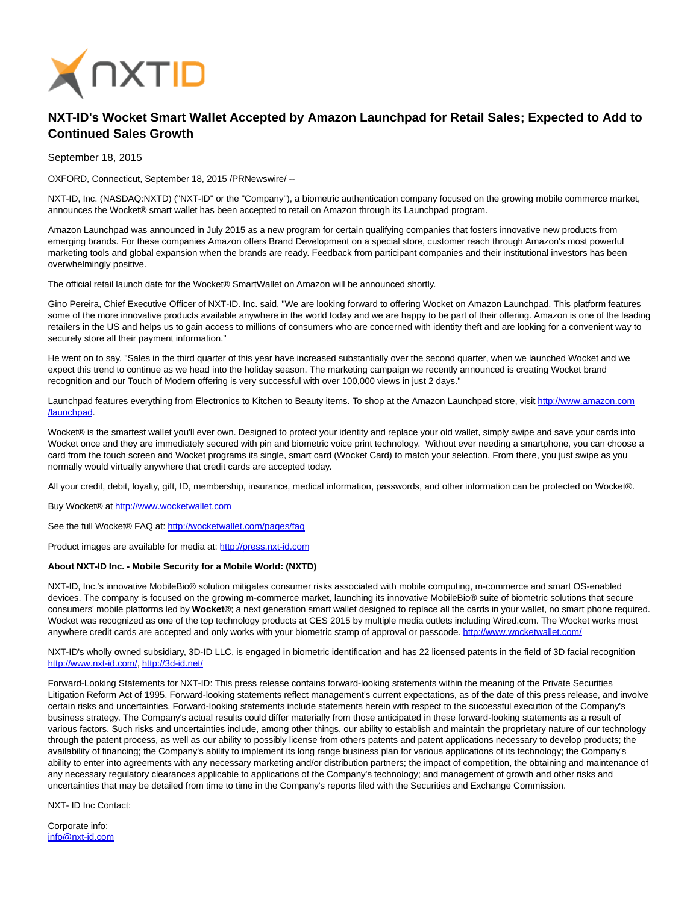

## **NXT-ID's Wocket Smart Wallet Accepted by Amazon Launchpad for Retail Sales; Expected to Add to Continued Sales Growth**

September 18, 2015

OXFORD, Connecticut, September 18, 2015 /PRNewswire/ --

NXT-ID, Inc. (NASDAQ:NXTD) ("NXT-ID" or the "Company"), a biometric authentication company focused on the growing mobile commerce market, announces the Wocket® smart wallet has been accepted to retail on Amazon through its Launchpad program.

Amazon Launchpad was announced in July 2015 as a new program for certain qualifying companies that fosters innovative new products from emerging brands. For these companies Amazon offers Brand Development on a special store, customer reach through Amazon's most powerful marketing tools and global expansion when the brands are ready. Feedback from participant companies and their institutional investors has been overwhelmingly positive.

The official retail launch date for the Wocket® SmartWallet on Amazon will be announced shortly.

Gino Pereira, Chief Executive Officer of NXT-ID. Inc. said, "We are looking forward to offering Wocket on Amazon Launchpad. This platform features some of the more innovative products available anywhere in the world today and we are happy to be part of their offering. Amazon is one of the leading retailers in the US and helps us to gain access to millions of consumers who are concerned with identity theft and are looking for a convenient way to securely store all their payment information."

He went on to say, "Sales in the third quarter of this year have increased substantially over the second quarter, when we launched Wocket and we expect this trend to continue as we head into the holiday season. The marketing campaign we recently announced is creating Wocket brand recognition and our Touch of Modern offering is very successful with over 100,000 views in just 2 days."

Launchpad features everything from Electronics to Kitchen to Beauty items. To shop at the Amazon Launchpad store, visi[t http://www.amazon.com](http://www.amazon.com/launchpad) /launchpad.

Wocket® is the smartest wallet you'll ever own. Designed to protect your identity and replace your old wallet, simply swipe and save your cards into Wocket once and they are immediately secured with pin and biometric voice print technology. Without ever needing a smartphone, you can choose a card from the touch screen and Wocket programs its single, smart card (Wocket Card) to match your selection. From there, you just swipe as you normally would virtually anywhere that credit cards are accepted today.

All your credit, debit, loyalty, gift, ID, membership, insurance, medical information, passwords, and other information can be protected on Wocket®.

Buy Wocket® at [http://www.wocketwallet.com](http://www.wocketwallet.com/)

See the full Wocket® FAQ at:<http://wocketwallet.com/pages/faq>

Product images are available for media at: [http://press.nxt-id.com](http://press.nxt-id.com/)

## **About NXT-ID Inc. - Mobile Security for a Mobile World: (NXTD)**

NXT-ID, Inc.'s innovative MobileBio® solution mitigates consumer risks associated with mobile computing, m-commerce and smart OS-enabled devices. The company is focused on the growing m-commerce market, launching its innovative MobileBio® suite of biometric solutions that secure consumers' mobile platforms led by **Wocket®**; a next generation smart wallet designed to replace all the cards in your wallet, no smart phone required. Wocket was recognized as one of the top technology products at CES 2015 by multiple media outlets including Wired.com. The Wocket works most anywhere credit cards are accepted and only works with your biometric stamp of approval or passcode.<http://www.wocketwallet.com/>

NXT-ID's wholly owned subsidiary, 3D-ID LLC, is engaged in biometric identification and has 22 licensed patents in the field of 3D facial recognition [http://www.nxt-id.com/,](http://www.nxt-id.com/)<http://3d-id.net/>

Forward-Looking Statements for NXT-ID: This press release contains forward-looking statements within the meaning of the Private Securities Litigation Reform Act of 1995. Forward-looking statements reflect management's current expectations, as of the date of this press release, and involve certain risks and uncertainties. Forward-looking statements include statements herein with respect to the successful execution of the Company's business strategy. The Company's actual results could differ materially from those anticipated in these forward-looking statements as a result of various factors. Such risks and uncertainties include, among other things, our ability to establish and maintain the proprietary nature of our technology through the patent process, as well as our ability to possibly license from others patents and patent applications necessary to develop products; the availability of financing; the Company's ability to implement its long range business plan for various applications of its technology; the Company's ability to enter into agreements with any necessary marketing and/or distribution partners; the impact of competition, the obtaining and maintenance of any necessary regulatory clearances applicable to applications of the Company's technology; and management of growth and other risks and uncertainties that may be detailed from time to time in the Company's reports filed with the Securities and Exchange Commission.

NXT- ID Inc Contact:

Corporate info: [info@nxt-id.com](mailto:info@nxt-id.com)